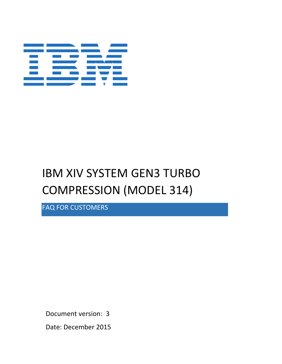

# IBM XIV SYSTEM GEN3 TURBO COMPRESSION (MODEL 314)

FAQ FOR CUSTOMERS

Document version: 3

Date: December 2015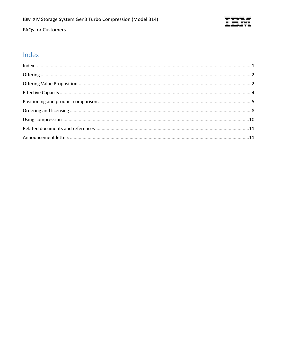

Ξ

# FAQs for Customers

# <span id="page-1-0"></span>Index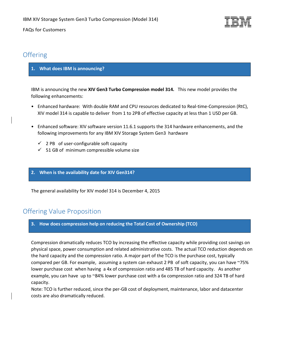

# <span id="page-2-0"></span>**Offering**

## **1. What does IBM is announcing?**

IBM is announcing the new **XIV Gen3 Turbo Compression model 314.** This new model provides the following enhancements:

- Enhanced hardware: With double RAM and CPU resources dedicated to Real-time-Compression (RtC), XIV model 314 is capable to deliver from 1 to 2PB of effective capacity at less than 1 USD per GB.
- Enhanced software: XIV software version 11.6.1 supports the 314 hardware enhancements, and the following improvements for any IBM XIV Storage System Gen3 hardware
	- $\checkmark$  2 PB of user-configurable soft capacity
	- $\checkmark$  51 GB of minimum compressible volume size

#### **2. When is the availability date for XIV Gen314?**

The general availability for XIV model 314 is December 4, 2015

# <span id="page-2-1"></span>Offering Value Proposition

#### **3. How does compression help on reducing the Total Cost of Ownership (TCO)**

Compression dramatically reduces TCO by increasing the effective capacity while providing cost savings on physical space, power consumption and related administrative costs. The actual TCO reduction depends on the hard capacity and the compression ratio. A major part of the TCO is the purchase cost, typically compared per GB. For example, assuming a system can exhaust 2 PB of soft capacity, you can have ~75% lower purchase cost when having a 4x of compression ratio and 485 TB of hard capacity. As another example, you can have up to ~84% lower purchase cost with a 6x compression ratio and 324 TB of hard capacity.

Note: TCO is further reduced, since the per-GB cost of deployment, maintenance, labor and datacenter costs are also dramatically reduced.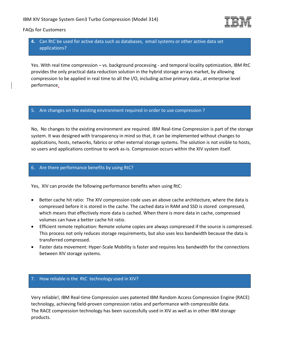

# **4.** Can RtC be used for active data such as databases, email systems or other active data set applications?

Yes. With real time compression – vs. background processing - and temporal locality optimization, IBM RtC provides the only practical data reduction solution in the hybrid storage arrays market, by allowing compression to be applied in real time to all the I/O, including active primary data , at enterprise level performance.

#### 5. Are changes on the existing environment required in order to use compression ?

No, No changes to the existing environment are required. IBM Real-time Compression is part of the storage system. It was designed with transparency in mind so that, it can be implemented without changes to applications, hosts, networks, fabrics or other external storage systems. The solution is not visible to hosts, so users and applications continue to work as-is. Compression occurs within the XIV system itself.

## 6. Are there performance benefits by using RtC?

Yes, XIV can provide the following performance benefits when using RtC:

- Better cache hit ratio: The XIV compression code uses an above cache architecture, where the data is compressed before it is stored in the cache. The cached data in RAM and SSD is stored compressed, which means that effectively more data is cached. When there is more data in cache, compressed volumes can have a better cache hit ratio.
- Efficient remote replication: Remote volume copies are always compressed if the source is compressed. This process not only reduces storage requirements, but also uses less bandwidth because the data is transferred compressed.
- Faster data movement: Hyper-Scale Mobility is faster and requires less bandwidth for the connections between XIV storage systems.

## 7. How reliable is the RtC technology used in XIV?

Very reliable!, IBM Real-time Compression uses patented IBM Random Access Compression Engine (RACE) technology, achieving field-proven compression ratios and performance with compressible data. The RACE compression technology has been successfully used in XIV as well as in other IBM storage products.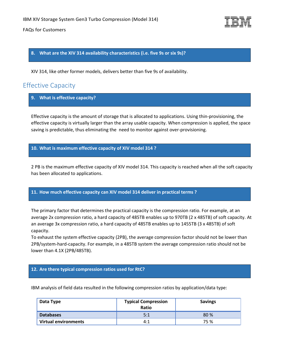

**8. What are the XIV 314 availability characteristics (i.e. five 9s or six 9s)?**

XIV 314, like other former models, delivers better than five 9s of availability.

# <span id="page-4-0"></span>Effective Capacity

**9. What is effective capacity?**

Effective capacity is the amount of storage that is allocated to applications. Using thin-provisioning, the effective capacity is virtually larger than the array usable capacity. When compression is applied, the space saving is predictable, thus eliminating the need to monitor against over-provisioning.

**10. What is maximum effective capacity of XIV model 314 ?** 

2 PB is the maximum effective capacity of XIV model 314. This capacity is reached when all the soft capacity has been allocated to applications.

#### **11. How much effective capacity can XIV model 314 deliver in practical terms ?**

The primary factor that determines the practical capacity is the compression ratio. For example, at an average 2x compression ratio, a hard capacity of 485TB enables up to 970TB (2 x 485TB) of soft capacity. At an average 3x compression ratio, a hard capacity of 485TB enables up to 1455TB (3 x 485TB) of soft capacity.

To exhaust the system effective capacity (2PB), the average compression factor should not be lower than 2PB/system-hard-capacity. For example, in a 485TB system the average compression ratio should not be lower than 4.1X (2PB/485TB).

#### **12. Are there typical compression ratios used for RtC?**

IBM analysis of field data resulted in the following compression ratios by application/data type:

| Data Type            | <b>Typical Compression</b><br>Ratio | <b>Savings</b> |
|----------------------|-------------------------------------|----------------|
| <b>Databases</b>     | 5:1                                 | 80%            |
| Virtual environments | 4:1                                 | 75 %           |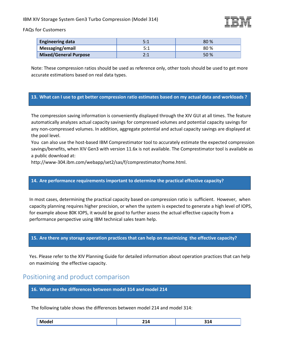IBM XIV Storage System Gen3 Turbo Compression (Model 314)



FAQs for Customers

| <b>Engineering data</b>      |                 | 80% |
|------------------------------|-----------------|-----|
| Messaging/email              | 5.1             | 80% |
| <b>Mixed/General Purpose</b> | า. 1<br><u></u> | 50% |

Note: These compression ratios should be used as reference only, other tools should be used to get more accurate estimations based on real data types.

#### **13. What can I use to get better compression ratio estimates based on my actual data and workloads ?**

The compression saving information is conveniently displayed through the XIV GUI at all times. The feature automatically analyzes actual capacity savings for compressed volumes and potential capacity savings for any non-compressed volumes. In addition, aggregate potential and actual capacity savings are displayed at the pool level.

You can also use the host-based IBM Comprestimator tool to accurately estimate the expected compression savings/benefits, when XIV Gen3 with version 11.6x is not available. The Comprestimator tool is available as a public download at:

http://www-304.ibm.com/webapp/set2/sas/f/comprestimator/home.html.

#### **14. Are performance requirements important to determine the practical effective capacity?**

In most cases, determining the practical capacity based on compression ratio is sufficient. However, when capacity planning requires higher precision, or when the system is expected to generate a high level of IOPS, for example above 80K IOPS, it would be good to further assess the actual effective capacity from a performance perspective using IBM technical sales team help.

#### **15. Are there any storage operation practices that can help on maximizing the effective capacity?**

Yes. Please refer to the XIV Planning Guide for detailed information about operation practices that can help on maximizing the effective capacity.

# <span id="page-5-0"></span>Positioning and product comparison

**16. What are the differences between model 314 and model 214**

The following table shows the differences between model 214 and model 314:

| . .<br>w<br> | .<br>. .<br>---<br>$  -$ | .<br>$-  -$ |
|--------------|--------------------------|-------------|
|--------------|--------------------------|-------------|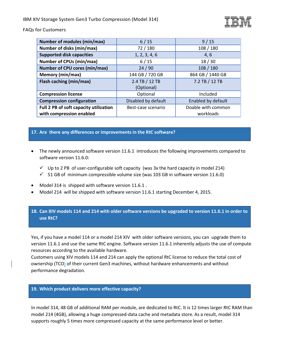| <b>Number of modules (min/max)</b>     | 6/15                | 9/15               |
|----------------------------------------|---------------------|--------------------|
| Number of disks (min/max)              | 72/180              | 108 / 180          |
| <b>Supported disk capacities</b>       | 1, 2, 3, 4, 6       | 4,6                |
| <b>Number of CPUs (min/max)</b>        | $6/15$              | 18/30              |
| Number of CPU cores (min/max)          | 24/90               | 108/180            |
| Memory (min/max)                       | 144 GB / 720 GB     | 864 GB / 1440 GB   |
| Flash caching (min/max)                | 2.4 TB / 12 TB      | 7.2 TB / 12 TB     |
|                                        | (Optional)          |                    |
| <b>Compression license</b>             | Optional            | Included           |
| <b>Compression configuration</b>       | Disabled by default | Enabled by default |
| Full 2 PB of soft capacity utilization | Best-case scenario  | Doable with common |
| with compression enabled               |                     | workloads          |

#### **17. Are there any differences or improvements in the RtC software?**

- The newly announced software version 11.6.1 introduces the following improvements compared to software version 11.6.0:
	- $\checkmark$  Up to 2 PB of user-configurable soft capacity (was 3x the hard capacity in model 214)
	- $\checkmark$  51 GB of minimum compressible volume size (was 103 GB in software version 11.6.0)
- Model 314 is shipped with software version 11.6.1 .
- Model 214 will be shipped with software version 11.6.1 starting December 4, 2015.

## **18. Can XIV models 114 and 214 with older software versions be upgraded to version 11.6.1 in order to use RtC?**

Yes, if you have a model 114 or a model 214 XIV with older software versions, you can upgrade them to version 11.6.1 and use the same RtC engine. Software version 11.6.1 inherently adjusts the use of compute resources according to the available hardware.

Customers using XIV models 114 and 214 can apply the optional RtC license to reduce the total cost of ownership (TCO) of their current Gen3 machines, without hardware enhancements and without performance degradation.

#### **19. Which product delivers more effective capacity?**

In model 314, 48 GB of additional RAM per module, are dedicated to RtC. It is 12 times larger RtC RAM than model 214 (4GB), allowing a huge compressed-data cache and metadata store. As a result, model 314 supports roughly 5 times more compressed capacity at the same performance level or better.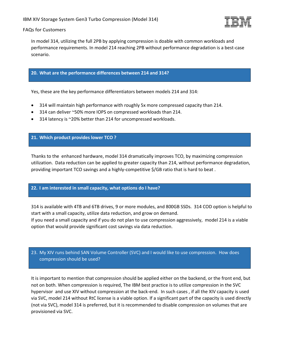

In model 314, utilizing the full 2PB by applying compression is doable with common workloads and performance requirements. In model 214 reaching 2PB without performance degradation is a best-case scenario.

#### **20. What are the performance differences between 214 and 314?**

Yes, these are the key performance differentiators between models 214 and 314:

- 314 will maintain high performance with roughly 5x more compressed capacity than 214.
- 314 can deliver ~50% more IOPS on compressed workloads than 214.
- 314 latency is ~20% better than 214 for uncompressed workloads.

#### **21. Which product provides lower TCO ?**

Thanks to the enhanced hardware, model 314 dramatically improves TCO, by maximizing compression utilization. Data reduction can be applied to greater capacity than 214, without performance degradation, providing important TCO savings and a highly-competitive \$/GB ratio that is hard to beat .

#### **22. I am interested in small capacity, what options do I have?**

314 is available with 4TB and 6TB drives, 9 or more modules, and 800GB SSDs. 314 COD option is helpful to start with a small capacity, utilize data reduction, and grow on demand.

If you need a small capacity and if you do not plan to use compression aggressively, model 214 is a viable option that would provide significant cost savings via data reduction.

## 23. My XIV runs behind SAN Volume Controller (SVC) and I would like to use compression. How does compression should be used?

It is important to mention that compression should be applied either on the backend, or the front end, but not on both. When compression is required, The IBM best practice is to utilize compression in the SVC hypervisor and use XIV without compression at the back-end. In such cases , if all the XIV capacity is used via SVC, model 214 without RtC license is a viable option. If a significant part of the capacity is used directly (not via SVC), model 314 is preferred, but it is recommended to disable compression on volumes that are provisioned via SVC.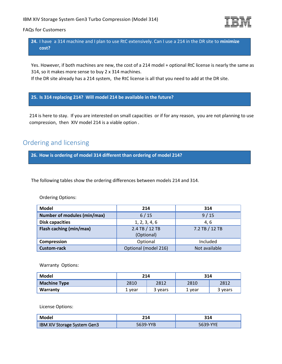

**24.** I have a 314 machine and I plan to use RtC extensively. Can I use a 214 in the DR site to **minimize cost?**

Yes. However, if both machines are new, the cost of a 214 model + optional RtC license is nearly the same as 314, so it makes more sense to buy 2 x 314 machines.

If the DR site already has a 214 system, the RtC license is all that you need to add at the DR site.

#### **25. Is 314 replacing 214? Will model 214 be available in the future?**

214 is here to stay. If you are interested on small capacities or if for any reason, you are not planning to use compression, then XIV model 214 is a viable option .

# <span id="page-8-0"></span>Ordering and licensing

**26. How is ordering of model 314 different than ordering of model 214?**

The following tables show the ordering differences between models 214 and 314.

#### Ordering Options:

| <b>Model</b>                | 214                  | 314            |
|-----------------------------|----------------------|----------------|
| Number of modules (min/max) | 6/15                 | 9/15           |
| <b>Disk capacities</b>      | 1, 2, 3, 4, 6        | 4.6            |
| Flash caching (min/max)     | 2.4 TB / 12 TB       | 7.2 TB / 12 TB |
|                             | (Optional)           |                |
| Compression                 | Optional             | Included       |
| <b>Custom-rack</b>          | Optional (model 216) | Not available  |

Warranty Options:

| Model               | 214    |         | 314    |         |
|---------------------|--------|---------|--------|---------|
| <b>Machine Type</b> | 2810   | 2812    | 2810   | 2812    |
| Warranty            | l vear | 3 years | 1 vear | 3 years |

License Options:

| <b>Model</b>                | 214 | 314 |
|-----------------------------|-----|-----|
| IBM XIV Storage System Gen3 |     |     |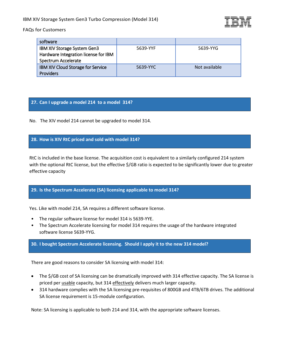| software                             |          |               |
|--------------------------------------|----------|---------------|
| <b>IBM XIV Storage System Gen3</b>   | 5639-YYF | 5639-YYG      |
| Hardware Integration license for IBM |          |               |
| Spectrum Accelerate                  |          |               |
| IBM XIV Cloud Storage for Service    | 5639-YYC | Not available |
| <b>Providers</b>                     |          |               |

## **27. Can I upgrade a model 214 to a model 314?**

No. The XIV model 214 cannot be upgraded to model 314.

## **28. How is XIV RtC priced and sold with model 314?**

RtC is included in the base license. The acquisition cost is equivalent to a similarly configured 214 system with the optional RtC license, but the effective \$/GB ratio is expected to be significantly lower due to greater effective capacity

# **29. Is the Spectrum Accelerate (SA) licensing applicable to model 314?**

Yes. Like with model 214, SA requires a different software license.

- The regular software license for model 314 is 5639-YYE.
- The Spectrum Accelerate licensing for model 314 requires the usage of the hardware integrated software license 5639-YYG.

#### **30. I bought Spectrum Accelerate licensing. Should I apply it to the new 314 model?**

There are good reasons to consider SA licensing with model 314:

- The \$/GB cost of SA licensing can be dramatically improved with 314 effective capacity. The SA license is priced per usable capacity, but 314 effectively delivers much larger capacity.
- 314 hardware complies with the SA licensing pre-requisites of 800GB and 4TB/6TB drives. The additional SA license requirement is 15-module configuration.

Note: SA licensing is applicable to both 214 and 314, with the appropriate software licenses.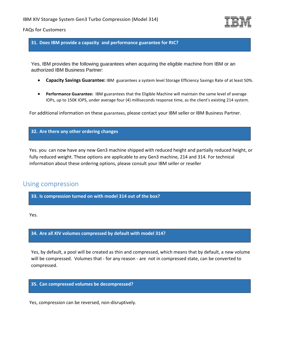

**31. Does IBM provide a capacity and performance guarantee for RtC?**

Yes, IBM provides the following guarantees when acquiring the eligible machine from IBM or an authorized IBM Business Partner:

- **Capacity Savings Guarantee:** IBM guarantees a system level Storage Efficiency Savings Rate of at least 50%.
- **Performance Guarantee:** IBM guarantees that the Eligible Machine will maintain the same level of average IOPs, up to 150K IOPS, under average four (4) milliseconds response time, as the client's existing 214 system.

For additional information on these guarantees, please contact your IBM seller or IBM Business Partner.

## **32. Are there any other ordering changes**

Yes. you can now have any new Gen3 machine shipped with reduced height and partially reduced height, or fully reduced weight. These options are applicable to any Gen3 machine, 214 and 314. For technical information about these ordering options, please consult your IBM seller or reseller

# <span id="page-10-0"></span>Using compression

**33. Is compression turned on with model 314 out of the box?**

Yes.

**34. Are all XIV volumes compressed by default with model 314?**

Yes, by default, a pool will be created as thin and compressed, which means that by default, a new volume will be compressed. Volumes that - for any reason - are not in compressed state, can be converted to compressed.

**35. Can compressed volumes be decompressed?**

Yes, compression can be reversed, non-disruptively.